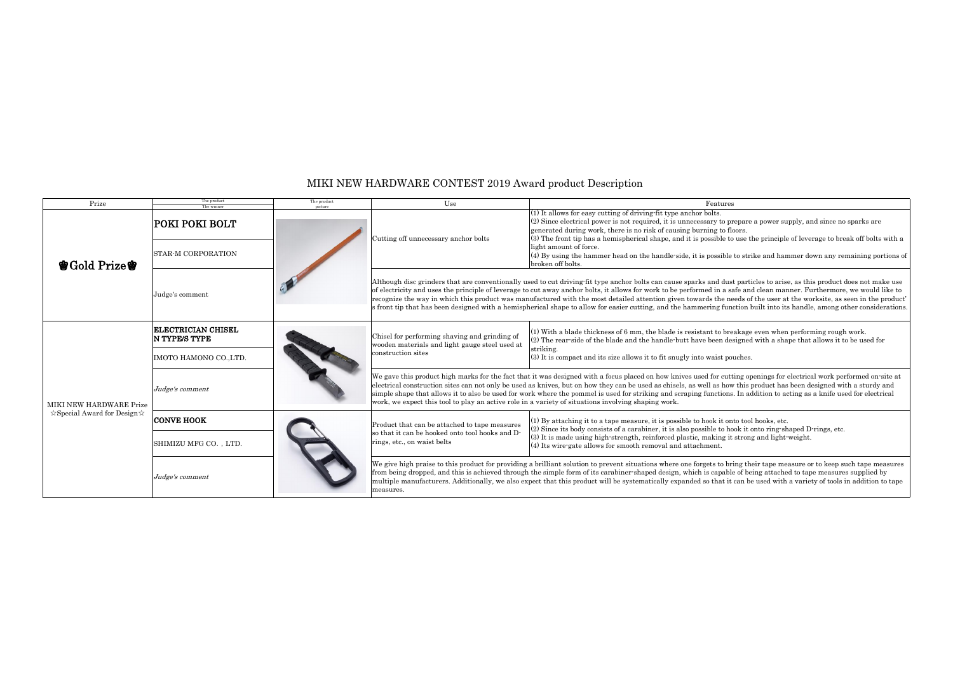| Prize                                                                   | The product<br>The winne                          | The pruduct<br>picture | $\operatorname{Use}$                                                                                                                                                                                                                                                                                                                                                                                                                                                               | Features                                                                                                                                                                                                                                                                             |
|-------------------------------------------------------------------------|---------------------------------------------------|------------------------|------------------------------------------------------------------------------------------------------------------------------------------------------------------------------------------------------------------------------------------------------------------------------------------------------------------------------------------------------------------------------------------------------------------------------------------------------------------------------------|--------------------------------------------------------------------------------------------------------------------------------------------------------------------------------------------------------------------------------------------------------------------------------------|
| 會Gold Prize會                                                            | POKI POKI BOLT                                    |                        | Cutting off unnecessary anchor bolts                                                                                                                                                                                                                                                                                                                                                                                                                                               | (1) It allows for easy cutting of driving fit type anchor bolts.<br>$(2)$ Since electrical power is not required, it is unnecessary to pr<br>generated during work, there is no risk of causing burning to flo<br>(3) The front tip has a hemispherical shape, and it is possible to |
|                                                                         | <b>STAR-M CORPORATION</b>                         |                        |                                                                                                                                                                                                                                                                                                                                                                                                                                                                                    | light amount of force.<br>(4) By using the hammer head on the handle-side, it is possible<br>broken off bolts.                                                                                                                                                                       |
|                                                                         | Judge's comment                                   |                        | Although disc grinders that are conventionally used to cut driving fit type anchor bolts can cause sparks and dus<br>of electricity and uses the principle of leverage to cut away anchor bolts, it allows for work to be performed in a sa<br>recognize the way in which this product was manufactured with the most detailed attention given towards the ne<br>s front tip that has been designed with a hemispherical shape to allow for easier cutting, and the hammering fund |                                                                                                                                                                                                                                                                                      |
| MIKI NEW HARDWARE Prize<br>$\forall$ Special Award for Design $\forall$ | <b>ELECTRICIAN CHISEL</b><br><b>N TYPE/S TYPE</b> |                        | Chisel for performing shaving and grinding of<br>wooden materials and light gauge steel used at<br>construction sites                                                                                                                                                                                                                                                                                                                                                              | (1) With a blade thickness of 6 mm, the blade is resistant to bre<br>(2) The rear-side of the blade and the handle-butt have been dea<br>striking.                                                                                                                                   |
|                                                                         | IMOTO HAMONO CO., LTD.                            |                        |                                                                                                                                                                                                                                                                                                                                                                                                                                                                                    | (3) It is compact and its size allows it to fit snugly into waist por                                                                                                                                                                                                                |
|                                                                         | Judge's comment                                   |                        | We gave this product high marks for the fact that it was designed with a focus placed on how knives used for cutt<br>electrical construction sites can not only be used as knives, but on how they can be used as chisels, as well as how<br>simple shape that allows it to also be used for work where the pommel is used for striking and scraping functions<br>work, we expect this tool to play an active role in a variety of situations involving shaping work.              |                                                                                                                                                                                                                                                                                      |
|                                                                         | <b>CONVE HOOK</b>                                 |                        | Product that can be attached to tape measures<br>so that it can be hooked onto tool hooks and D-<br>rings, etc., on waist belts                                                                                                                                                                                                                                                                                                                                                    | $(1)$ By attaching it to a tape measure, it is possible to hook it on<br>$(2)$ Since its body consists of a carabiner, it is also possible to ho<br>(3) It is made using high-strength, reinforced plastic, making it<br>(4) Its wire-gate allows for smooth removal and attachment. |
|                                                                         | SHIMIZU MFG CO., LTD.                             |                        |                                                                                                                                                                                                                                                                                                                                                                                                                                                                                    |                                                                                                                                                                                                                                                                                      |
|                                                                         | Judge's comment                                   |                        | We give high praise to this product for providing a brilliant solution to prevent situations where one forgets to bri<br>from being dropped, and this is achieved through the simple form of its carabiner-shaped design, which is capable<br>multiple manufacturers. Additionally, we also expect that this product will be systematically expanded so that it<br>measures.                                                                                                       |                                                                                                                                                                                                                                                                                      |

to prepare a power supply, and since no sparks are to floors.

le to use the principle of leverage to break off bolts with a

sible to strike and hammer down any remaining portions of

dust particles to arise, as this product does not make use a safe and clean manner. Furthermore, we would like to ne needs of the user at the worksite, as seen in the product' function built into its handle, among other considerations.

(1) breakage even when performing rough work. designed with a shape that allows it to be used for

pouches.

cutting openings for electrical work performed on-site at be used as been designed with a sturdy and how this product has been designed with a sturdy and ions. In addition to acting as a knife used for electrical

t onto tool hooks, etc. to hook it onto ring-shaped D-rings, etc. ng it strong and light-weight.

to bring their tape measure or to keep such tape measures pable of being attached to tape measures supplied by multiple manufacturers. Additional it can be used with a variety of tools in addition to tape

## MIKI NEW HARDWARE CONTEST 2019 Award product Description